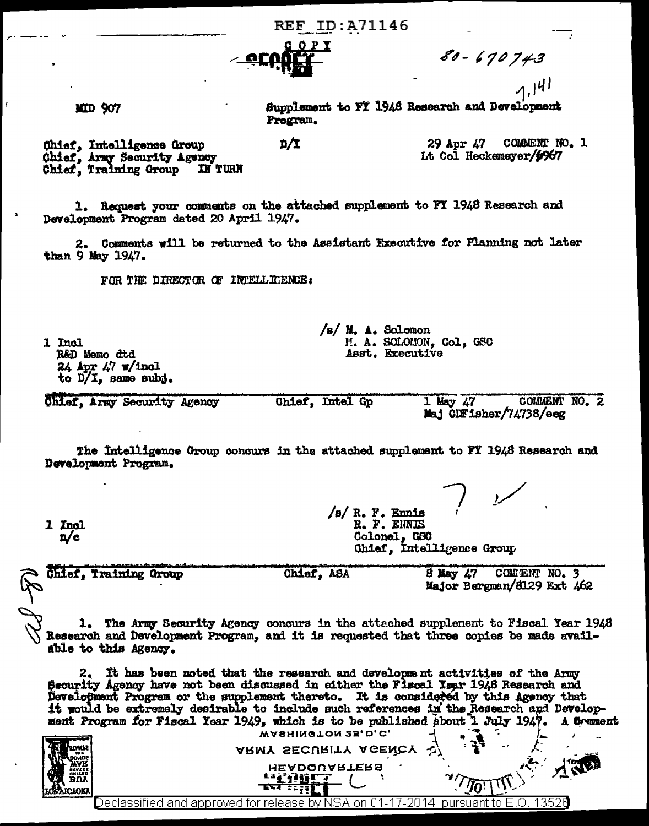**REF ID:A71146** 



DΊ

 $80 - 670743$ <br>1,141

MID 907

Supplement to FY 1948 Research and Development Program.

Chief, Intelligence Group Chief, Army Security Agency Chief, Training Group **IN TURN** 

 $29$  Apr  $\angle 7$ COMMENT NO. 1 Lt Col Heckemeyer/6967

1. Request your comments on the attached supplement to FY 1948 Research and Development Program dated 20 April 1947.

2. Comments will be returned to the Assistant Executive for Flanning not later than 9 May 1947.

FOR THE DIRECTOR OF INTELLIGENCE:

1 Incl R&D Memo dtd  $24$  Apr  $47$  w/inel to  $D/I$ , same subj.

COMMENT NO. 2 Chief, Army Security Agency Chief, Intel Gp  $1$  May  $47$ Mai CDFisher/74738/eeg

 $/s/ M.$  A. Solomon

H. A. SOLOMON, Col, GSC Asst. Executive

The Intelligence Group concurs in the attached supplement to FY 1948 Research and Development Program.

/s/ R. F. Ennis<br>R. F. ENNIS 1 Incl Colonel, GSC  $n/c$ Ohief. Intelligence Group

| Chief, Training Group | Chief, ASA | $8$ May $47$ |                            | COMMENT NO. 3 |  |
|-----------------------|------------|--------------|----------------------------|---------------|--|
|                       |            |              | Major Bergman/8129 Ext 462 |               |  |

1. The Army Security Agency concurs in the attached supplement to Fiscal Year 1948 Research and Development Program, and it is requested that three copies be made available to this Agency.

2. It has been noted that the research and development activities of the Army Security Agency have not been discussed in either the Flscal Year 1948 Research and Development Program or the supplement thereto. It is considered by this Agency that it would be extremely desirable to include such references in the Research and Development Program for Fiscal Year 1949, which is to be published about 1 July 1947. A Comment

| <b>EUTE</b><br>BUY<br>BUY<br>⋪ | WASHINGTON 25, D.C.<br>- 1<br>ARMY SECURITY AGENCY<br>ا ن<br>HEADQUARTERS |  |
|--------------------------------|---------------------------------------------------------------------------|--|
|                                | <u>)eclassified and approved for release by NSA</u>                       |  |
|                                |                                                                           |  |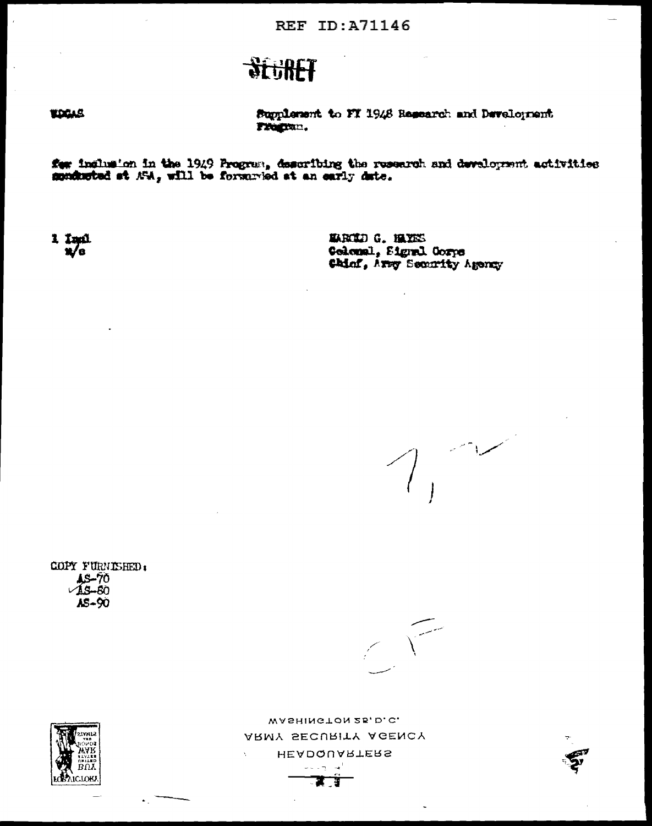## **Stufff**

## **TOGAS**

Supplement to FT 1948 Research and Development Fregran.

for indhusion in the 1949 Program, describing the research and development activities sundacted at  $\mathcal{N}A_s$  will be forwarded at an early date.

 $\frac{1}{2} \frac{1}{\sqrt{6}}$ 

MACID G. HAYES Colomal, Signal Corps Chief, Arsy Security Agency

سيسلط

COPY FURNISHED,  $\frac{15-70}{45-60}$ AS-90



WASHINGTON 25, D.C. ARMY SECURITY AGENCY HEADQUARTERS  $\omega = \omega_{\rm T} - \omega^2$ 

ड व